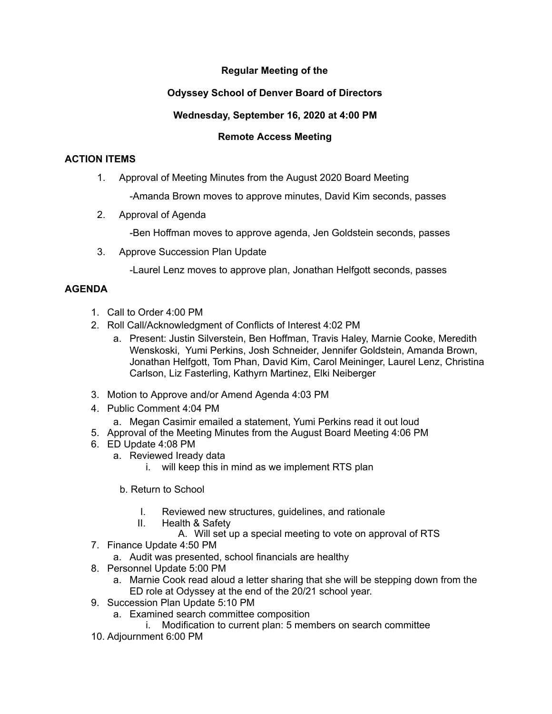# **Regular Meeting of the**

## **Odyssey School of Denver Board of Directors**

### **Wednesday, September 16, 2020 at 4:00 PM**

#### **Remote Access Meeting**

#### **ACTION ITEMS**

1. Approval of Meeting Minutes from the August 2020 Board Meeting

-Amanda Brown moves to approve minutes, David Kim seconds, passes

2. Approval of Agenda

-Ben Hoffman moves to approve agenda, Jen Goldstein seconds, passes

3. Approve Succession Plan Update

-Laurel Lenz moves to approve plan, Jonathan Helfgott seconds, passes

#### **AGENDA**

- 1. Call to Order 4:00 PM
- 2. Roll Call/Acknowledgment of Conflicts of Interest 4:02 PM
	- a. Present: Justin Silverstein, Ben Hoffman, Travis Haley, Marnie Cooke, Meredith Wenskoski, Yumi Perkins, Josh Schneider, Jennifer Goldstein, Amanda Brown, Jonathan Helfgott, Tom Phan, David Kim, Carol Meininger, Laurel Lenz, Christina Carlson, Liz Fasterling, Kathyrn Martinez, Elki Neiberger
- 3. Motion to Approve and/or Amend Agenda 4:03 PM
- 4. Public Comment 4:04 PM
	- a. Megan Casimir emailed a statement, Yumi Perkins read it out loud
- 5. Approval of the Meeting Minutes from the August Board Meeting 4:06 PM
- 6. ED Update 4:08 PM
	- a. Reviewed Iready data
		- i. will keep this in mind as we implement RTS plan
		- b. Return to School
			- I. Reviewed new structures, guidelines, and rationale
			- II. Health & Safety
				- A. Will set up a special meeting to vote on approval of RTS
- 7. Finance Update 4:50 PM
	- a. Audit was presented, school financials are healthy
- 8. Personnel Update 5:00 PM
	- a. Marnie Cook read aloud a letter sharing that she will be stepping down from the ED role at Odyssey at the end of the 20/21 school year.
- 9. Succession Plan Update 5:10 PM
	- a. Examined search committee composition
		- i. Modification to current plan: 5 members on search committee
- 10. Adjournment 6:00 PM